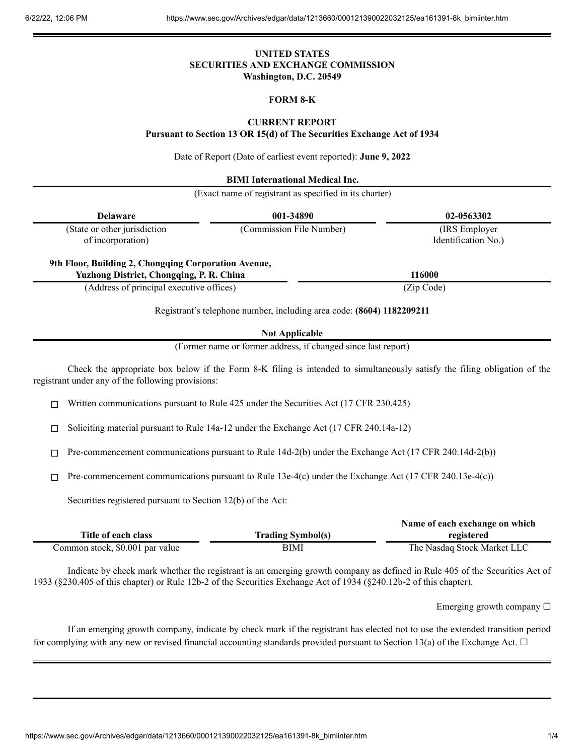## **UNITED STATES SECURITIES AND EXCHANGE COMMISSION Washington, D.C. 20549**

## **FORM 8-K**

#### **CURRENT REPORT**

**Pursuant to Section 13 OR 15(d) of The Securities Exchange Act of 1934**

Date of Report (Date of earliest event reported): **June 9, 2022**

**BIMI International Medical Inc.**

(Exact name of registrant as specified in its charter)

| <b>Delaware</b>                                                                                         | 001-34890                                                             | 02-0563302                            |
|---------------------------------------------------------------------------------------------------------|-----------------------------------------------------------------------|---------------------------------------|
| (State or other jurisdiction<br>of incorporation)                                                       | (Commission File Number)                                              | (IRS Employer)<br>Identification No.) |
| 9th Floor, Building 2, Chongqing Corporation Avenue,<br><b>Yuzhong District, Chongqing, P. R. China</b> |                                                                       | 116000                                |
| (Address of principal executive offices)                                                                |                                                                       | (Zip Code)                            |
|                                                                                                         | Registrant's telephone number, including area code: (8604) 1182209211 |                                       |
|                                                                                                         | <b>Not Applicable</b>                                                 |                                       |
|                                                                                                         | (Former name or former address, if changed since last report)         |                                       |

Check the appropriate box below if the Form 8-K filing is intended to simultaneously satisfy the filing obligation of the registrant under any of the following provisions:

 $\Box$  Written communications pursuant to Rule 425 under the Securities Act (17 CFR 230.425)

☐ Soliciting material pursuant to Rule 14a-12 under the Exchange Act (17 CFR 240.14a-12)

 $\Box$  Pre-commencement communications pursuant to Rule 14d-2(b) under the Exchange Act (17 CFR 240.14d-2(b))

 $\Box$  Pre-commencement communications pursuant to Rule 13e-4(c) under the Exchange Act (17 CFR 240.13e-4(c))

Securities registered pursuant to Section 12(b) of the Act:

|                                 |                          | Name of each exchange on which |
|---------------------------------|--------------------------|--------------------------------|
| Title of each class             | <b>Trading Symbol(s)</b> | registered                     |
| Common stock, \$0.001 par value | BIMI                     | The Nasdaq Stock Market LLC    |

Indicate by check mark whether the registrant is an emerging growth company as defined in Rule 405 of the Securities Act of 1933 (§230.405 of this chapter) or Rule 12b-2 of the Securities Exchange Act of 1934 (§240.12b-2 of this chapter).

Emerging growth company  $\Box$ 

If an emerging growth company, indicate by check mark if the registrant has elected not to use the extended transition period for complying with any new or revised financial accounting standards provided pursuant to Section 13(a) of the Exchange Act.  $\Box$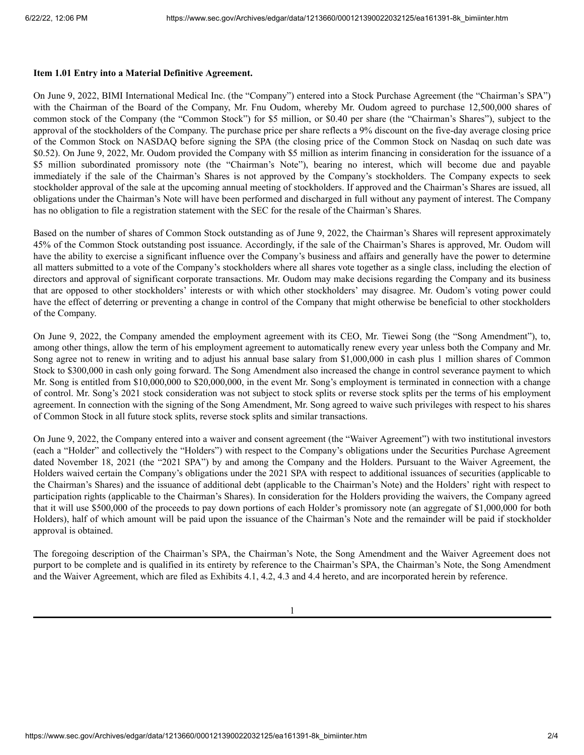#### **Item 1.01 Entry into a Material Definitive Agreement.**

On June 9, 2022, BIMI International Medical Inc. (the "Company") entered into a Stock Purchase Agreement (the "Chairman's SPA") with the Chairman of the Board of the Company, Mr. Fnu Oudom, whereby Mr. Oudom agreed to purchase 12,500,000 shares of common stock of the Company (the "Common Stock") for \$5 million, or \$0.40 per share (the "Chairman's Shares"), subject to the approval of the stockholders of the Company. The purchase price per share reflects a 9% discount on the five-day average closing price of the Common Stock on NASDAQ before signing the SPA (the closing price of the Common Stock on Nasdaq on such date was \$0.52). On June 9, 2022, Mr. Oudom provided the Company with \$5 million as interim financing in consideration for the issuance of a \$5 million subordinated promissory note (the "Chairman's Note"), bearing no interest, which will become due and payable immediately if the sale of the Chairman's Shares is not approved by the Company's stockholders. The Company expects to seek stockholder approval of the sale at the upcoming annual meeting of stockholders. If approved and the Chairman's Shares are issued, all obligations under the Chairman's Note will have been performed and discharged in full without any payment of interest. The Company has no obligation to file a registration statement with the SEC for the resale of the Chairman's Shares.

Based on the number of shares of Common Stock outstanding as of June 9, 2022, the Chairman's Shares will represent approximately 45% of the Common Stock outstanding post issuance. Accordingly, if the sale of the Chairman's Shares is approved, Mr. Oudom will have the ability to exercise a significant influence over the Company's business and affairs and generally have the power to determine all matters submitted to a vote of the Company's stockholders where all shares vote together as a single class, including the election of directors and approval of significant corporate transactions. Mr. Oudom may make decisions regarding the Company and its business that are opposed to other stockholders' interests or with which other stockholders' may disagree. Mr. Oudom's voting power could have the effect of deterring or preventing a change in control of the Company that might otherwise be beneficial to other stockholders of the Company.

On June 9, 2022, the Company amended the employment agreement with its CEO, Mr. Tiewei Song (the "Song Amendment"), to, among other things, allow the term of his employment agreement to automatically renew every year unless both the Company and Mr. Song agree not to renew in writing and to adjust his annual base salary from \$1,000,000 in cash plus 1 million shares of Common Stock to \$300,000 in cash only going forward. The Song Amendment also increased the change in control severance payment to which Mr. Song is entitled from \$10,000,000 to \$20,000,000, in the event Mr. Song's employment is terminated in connection with a change of control. Mr. Song's 2021 stock consideration was not subject to stock splits or reverse stock splits per the terms of his employment agreement. In connection with the signing of the Song Amendment, Mr. Song agreed to waive such privileges with respect to his shares of Common Stock in all future stock splits, reverse stock splits and similar transactions.

On June 9, 2022, the Company entered into a waiver and consent agreement (the "Waiver Agreement") with two institutional investors (each a "Holder" and collectively the "Holders") with respect to the Company's obligations under the Securities Purchase Agreement dated November 18, 2021 (the "2021 SPA") by and among the Company and the Holders. Pursuant to the Waiver Agreement, the Holders waived certain the Company's obligations under the 2021 SPA with respect to additional issuances of securities (applicable to the Chairman's Shares) and the issuance of additional debt (applicable to the Chairman's Note) and the Holders' right with respect to participation rights (applicable to the Chairman's Shares). In consideration for the Holders providing the waivers, the Company agreed that it will use \$500,000 of the proceeds to pay down portions of each Holder's promissory note (an aggregate of \$1,000,000 for both Holders), half of which amount will be paid upon the issuance of the Chairman's Note and the remainder will be paid if stockholder approval is obtained.

The foregoing description of the Chairman's SPA, the Chairman's Note, the Song Amendment and the Waiver Agreement does not purport to be complete and is qualified in its entirety by reference to the Chairman's SPA, the Chairman's Note, the Song Amendment and the Waiver Agreement, which are filed as Exhibits 4.1, 4.2, 4.3 and 4.4 hereto, and are incorporated herein by reference.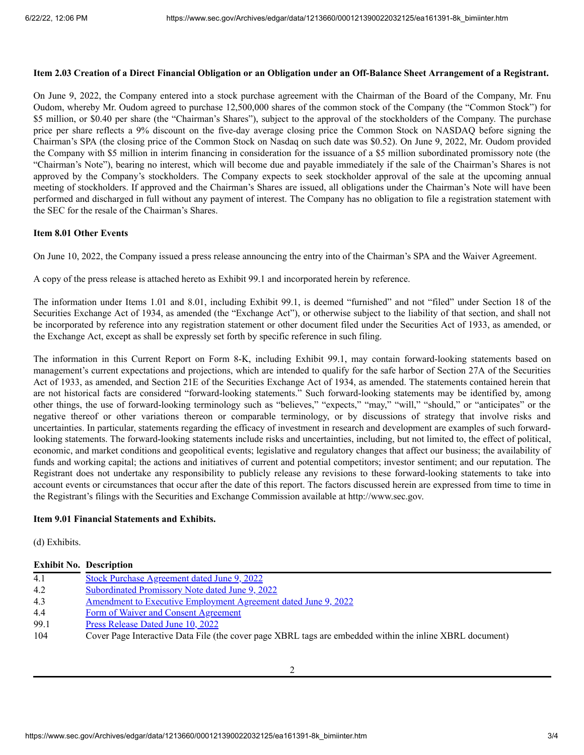## Item 2.03 Creation of a Direct Financial Obligation or an Obligation under an Off-Balance Sheet Arrangement of a Registrant.

On June 9, 2022, the Company entered into a stock purchase agreement with the Chairman of the Board of the Company, Mr. Fnu Oudom, whereby Mr. Oudom agreed to purchase 12,500,000 shares of the common stock of the Company (the "Common Stock") for \$5 million, or \$0.40 per share (the "Chairman's Shares"), subject to the approval of the stockholders of the Company. The purchase price per share reflects a 9% discount on the five-day average closing price the Common Stock on NASDAQ before signing the Chairman's SPA (the closing price of the Common Stock on Nasdaq on such date was \$0.52). On June 9, 2022, Mr. Oudom provided the Company with \$5 million in interim financing in consideration for the issuance of a \$5 million subordinated promissory note (the "Chairman's Note"), bearing no interest, which will become due and payable immediately if the sale of the Chairman's Shares is not approved by the Company's stockholders. The Company expects to seek stockholder approval of the sale at the upcoming annual meeting of stockholders. If approved and the Chairman's Shares are issued, all obligations under the Chairman's Note will have been performed and discharged in full without any payment of interest. The Company has no obligation to file a registration statement with the SEC for the resale of the Chairman's Shares.

#### **Item 8.01 Other Events**

On June 10, 2022, the Company issued a press release announcing the entry into of the Chairman's SPA and the Waiver Agreement.

A copy of the press release is attached hereto as Exhibit 99.1 and incorporated herein by reference.

The information under Items 1.01 and 8.01, including Exhibit 99.1, is deemed "furnished" and not "filed" under Section 18 of the Securities Exchange Act of 1934, as amended (the "Exchange Act"), or otherwise subject to the liability of that section, and shall not be incorporated by reference into any registration statement or other document filed under the Securities Act of 1933, as amended, or the Exchange Act, except as shall be expressly set forth by specific reference in such filing.

The information in this Current Report on Form 8-K, including Exhibit 99.1, may contain forward-looking statements based on management's current expectations and projections, which are intended to qualify for the safe harbor of Section 27A of the Securities Act of 1933, as amended, and Section 21E of the Securities Exchange Act of 1934, as amended. The statements contained herein that are not historical facts are considered "forward-looking statements." Such forward-looking statements may be identified by, among other things, the use of forward-looking terminology such as "believes," "expects," "may," "will," "should," or "anticipates" or the negative thereof or other variations thereon or comparable terminology, or by discussions of strategy that involve risks and uncertainties. In particular, statements regarding the efficacy of investment in research and development are examples of such forwardlooking statements. The forward-looking statements include risks and uncertainties, including, but not limited to, the effect of political, economic, and market conditions and geopolitical events; legislative and regulatory changes that affect our business; the availability of funds and working capital; the actions and initiatives of current and potential competitors; investor sentiment; and our reputation. The Registrant does not undertake any responsibility to publicly release any revisions to these forward-looking statements to take into account events or circumstances that occur after the date of this report. The factors discussed herein are expressed from time to time in the Registrant's filings with the Securities and Exchange Commission available at http://www.sec.gov.

## **Item 9.01 Financial Statements and Exhibits.**

(d) Exhibits.

|      | <b>Exhibit No. Description</b>                                                                           |
|------|----------------------------------------------------------------------------------------------------------|
| 4.1  | Stock Purchase Agreement dated June 9, 2022                                                              |
| 4.2  | Subordinated Promissory Note dated June 9, 2022                                                          |
| 4.3  | <u>Amendment to Executive Employment Agreement dated June 9, 2022</u>                                    |
| 4.4  | Form of Waiver and Consent Agreement                                                                     |
| 99.1 | Press Release Dated June 10, 2022                                                                        |
| 104  | Cover Page Interactive Data File (the cover page XBRL tags are embedded within the inline XBRL document) |